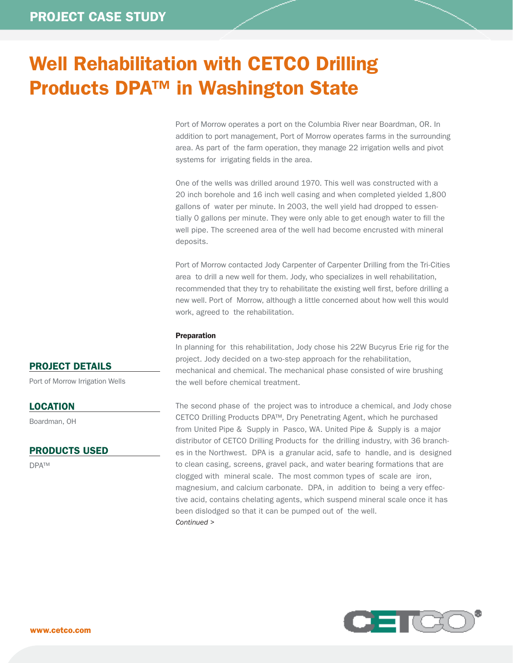# Well Rehabilitation with CETCO Drilling Products DPA™ in Washington State

Port of Morrow operates a port on the Columbia River near Boardman, OR. In addition to port management, Port of Morrow operates farms in the surrounding area. As part of the farm operation, they manage 22 irrigation wells and pivot systems for irrigating fields in the area.

One of the wells was drilled around 1970. This well was constructed with a 20 inch borehole and 16 inch well casing and when completed yielded 1,800 gallons of water per minute. In 2003, the well yield had dropped to essentially 0 gallons per minute. They were only able to get enough water to fill the well pipe. The screened area of the well had become encrusted with mineral deposits.

Port of Morrow contacted Jody Carpenter of Carpenter Drilling from the Tri-Cities area to drill a new well for them. Jody, who specializes in well rehabilitation, recommended that they try to rehabilitate the existing well first, before drilling a new well. Port of Morrow, although a little concerned about how well this would work, agreed to the rehabilitation.

### Preparation

In planning for this rehabilitation, Jody chose his 22W Bucyrus Erie rig for the project. Jody decided on a two-step approach for the rehabilitation, mechanical and chemical. The mechanical phase consisted of wire brushing the well before chemical treatment.

The second phase of the project was to introduce a chemical, and Jody chose CETCO Drilling Products DPA™, Dry Penetrating Agent, which he purchased from United Pipe & Supply in Pasco, WA. United Pipe & Supply is a major distributor of CETCO Drilling Products for the drilling industry, with 36 branches in the Northwest. DPA is a granular acid, safe to handle, and is designed to clean casing, screens, gravel pack, and water bearing formations that are clogged with mineral scale. The most common types of scale are iron, magnesium, and calcium carbonate. DPA, in addition to being a very effective acid, contains chelating agents, which suspend mineral scale once it has been dislodged so that it can be pumped out of the well. *Continued >*



# PROJECT DETAILS

Port of Morrow Irrigation Wells

## LOCATION

Boardman, OH

## PRODUCTS USED

DPA™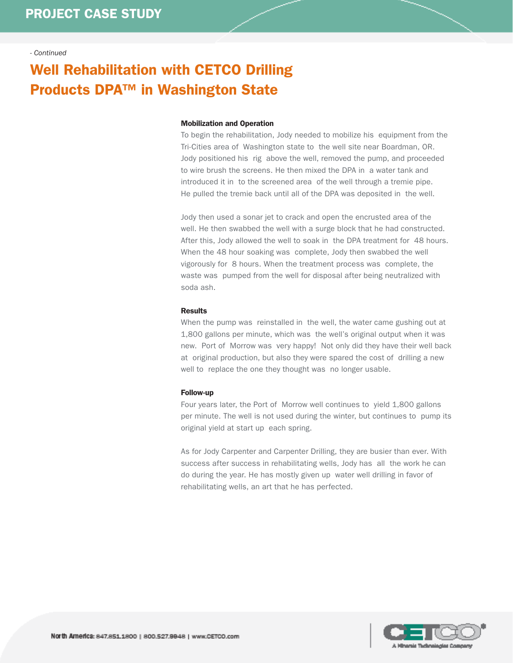### *- Continued*

# Well Rehabilitation with CETCO Drilling Products DPA™ in Washington State

### Mobilization and Operation

To begin the rehabilitation, Jody needed to mobilize his equipment from the Tri-Cities area of Washington state to the well site near Boardman, OR. Jody positioned his rig above the well, removed the pump, and proceeded to wire brush the screens. He then mixed the DPA in a water tank and introduced it in to the screened area of the well through a tremie pipe. He pulled the tremie back until all of the DPA was deposited in the well.

Jody then used a sonar jet to crack and open the encrusted area of the well. He then swabbed the well with a surge block that he had constructed. After this, Jody allowed the well to soak in the DPA treatment for 48 hours. When the 48 hour soaking was complete, Jody then swabbed the well vigorously for 8 hours. When the treatment process was complete, the waste was pumped from the well for disposal after being neutralized with soda ash.

### Results

When the pump was reinstalled in the well, the water came gushing out at 1,800 gallons per minute, which was the well's original output when it was new. Port of Morrow was very happy! Not only did they have their well back at original production, but also they were spared the cost of drilling a new well to replace the one they thought was no longer usable.

#### Follow-up

Four years later, the Port of Morrow well continues to yield 1,800 gallons per minute. The well is not used during the winter, but continues to pump its original yield at start up each spring.

As for Jody Carpenter and Carpenter Drilling, they are busier than ever. With success after success in rehabilitating wells, Jody has all the work he can do during the year. He has mostly given up water well drilling in favor of rehabilitating wells, an art that he has perfected.